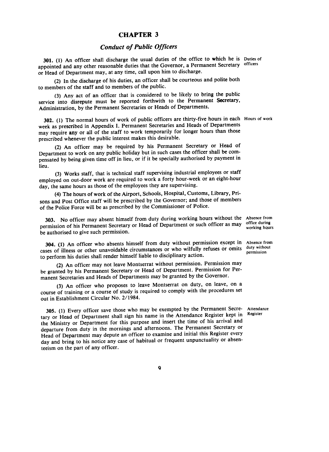## CHAPTER 3

## Conduct of Public Officers

301. (I) An officer shall discharge the usual duties of the office to which he is Duties of appointed and any other reasonable duties that the Governor, a Permanent Secretary officers or Head of Department may, at any time, call upon him to discharge.

(2) In the discharge of his duties, an officer shall be courteous and polite both to members of the staff and to members of the public.

(3) Any act of an officer that is considered to be likely to bring the public service into disrepute must be reported forthwith to the Permanent Secretary, Administration, by the Permanent Secretaries or Heads of Departments.

302. (I) The normal hours of work of public officers are thirty-five hours in each Hours of work week as prescribed in Appendix I. Permanent Secretaries and Heads of Departments may require any or all of the staff to work temporarily for longer hours than those prescribed whenever the public interest makes this desirable.

(2) An officer may be required by his Permanent Secretary or Head of Department to work on any public holiday but in such cases the officer shall be compensated by being given time off jn lieu, or if it be specially authorised by payment in lieu.

(3) Works staff, that is technical staff supervising industrial employees or staff employed on out-door work are required to work a forty hour-week or an eight-hour day, the same hours as those of the employees they are supervising.

(4) The hours of work of the Airport, Schools, Hospital, Customs, Library , Prisons and Post Office staff will be prescribed by the Governor; and those of members of the Police Force will be as prescribed by the Commissioner of Police.

303. No officer may absent himself from duty during working hours without the Absence from permission of his Permanent Secretary or Head of Department or such officer as may office during bermission of his Permanent Secretary of Ficad or Department of such officers as  $\frac{1}{2}$  working hours

304. (1) An officer who absents himself from duty without permission except in Absence from cases of illness or other unavoidable circumstances or who wilfully refuses or omits duty without to perform his duties shall render himself liable to disciplinary action.

(2) An officer may not leave Montserrat without permission. Permission may be granted by his Permanent Secretary or Head of Department. Permission for Permanent Secretaries and Heads of Departments may be granted by the Governor .

(3) An officer who proposes to leave Montserrat on duty, on leave, on a course of training or a course of study is required to comply with the procedures set out in Establishment Circular No. 2/1984.

305. (I) Every officer save those who may be exempted by the Permanent Secre- Attendance tary or Head of Department shall sign his name in the Attendance Register kept in Register the Ministry or Department for this purpose and insert the time of his arrival and departure from duty in the mornings and afternoons. The Permanent Secretary or Head of Department may depute an officer to examine and initial this Register every day and bring to his notice any case of habitual or frequent unpunctuality or absenteeism on the part of any officer .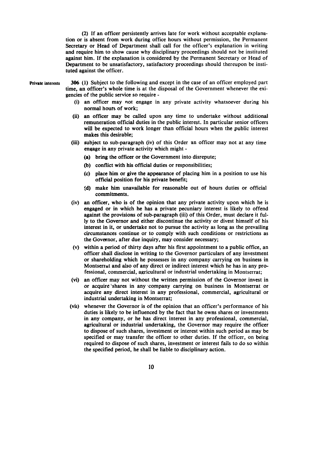(2) If an officer persistently arrives late for work without acceptable explanation or is absent from work during office hours without permission, the Permanent Secretary or Head of Department shall call for the officer's explanation in writing and require him to show cause why disciplinary proceedings should not be instituted against him. If the explanation is considered by the Permanent Secretary or Head of Department to be unsatisfactory, satisfactory proceedings should thereupon be instituted against the officer .

Private interests 306 (1) Subject to the following and except in the case of an officer employed part time, an officer's whole time is at the disposal of the Government whenever the exigencies of the public service so require -

- (i) an officer may not engage in any private activity whatsoever during his normal hours of work;
- (ii) an officer may be called upon any time to undertake without additional remuneration official duties in the public interest. In particular senior officers will be expected to work longer than official hours when the public interest makes this desirable;
- (iii) subject to sub-paragraph (iv) of this Order an officer may not at any time engage in any private activity which might -
	- (a) bring the officer or the Government into disrepute;
	- (b) conflict with his official duties or responsibilities;
	- (c) place him or give the appearance of placing him in a position to use his official position for his private benefit;
	- td) make him unavailable for reasonable out of hours duties or official commitments.
- (iv) an officer, who is of the opinion that any private activity upon which he is engaged or in which he has a private pecuniary interest is likely to offend against the provisions of sub-paragraph (iii) of this Order, must declare it fully to the Governor and either discontinue the activity or divest himself of his interest in it, or undertake not to pursue the activity as long as the prevailing circumstances continue or to comply with such conditions or restrictions as the Governor, after due inquiry, may consider necessary;
- (v) within a period of thirty days after his first appointment to a public office, an officer shall disclose in writing to the Governor particulars of any investment or shareholding which he possesses in any company carrying on business in Montserrat and also of any direct or indirect interest which he has in any professional, commercial, agricultural or industrial undertaking in Montserrat;
- (vi) an officer may not without the written permission of the Governor invest in or acquire 'shares in any ~ompany carrying on business in Montserrat or acquire any direct interest in any professional, commercial, agricultural or industrial undertaking in Montserrat;
- (vii) whenever the Governor is of the opinion that an officer's performance of his duties is likely to be influenced by the fact that he owns shares or investments in any company, or he has direct interest in any professional, commercial, agricultural or industrial undertaking, the Governor may require the officer to dispose of such shares, investment or interest within such period as may be specified or may transfer the officer to other duties. If the officer, on being required to dispose of such shares, investment or interest fails to do so within the specified period, he shall be liable to disciplinary action.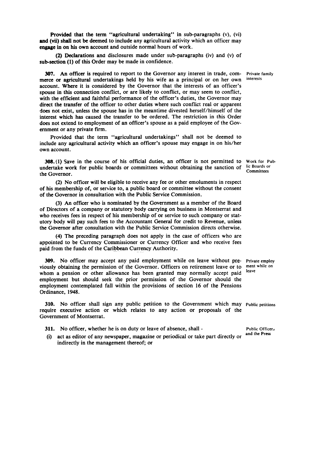Provided that the term "agricultural undertaking" in sub-paragraphs  $(v)$ ,  $(vi)$ and (vii) shall not be deemed to include any agricultural activity which an officer may engage in on his own account and outside normal hours of work.

(2) Declarations and disclosures made under sub-paragraphs (iv) and (v) of sub-section (I) of this Order may be made in confidence.

307. An officer is required to report to the Governor any interest in trade, com-<br>erce or agricultural undertakings held by his wife as a principal or on her own interests merce or agricultural undertakings held by his wife as a principal or on her own account. Where it is considered by the Governor that the interests of an officer's spouse in this connection conflict, or are likely to conflict, or may seem to conflict, with the efficient and faithful performance of the officer's duties, the Governor may direct the transfer of the officer to other duties where such conflict real or apparent does not exist, unless the spouse has in the meantime divested herself/himself of the interest which has caused the transfer to be ordered. The restriction in this Order does not extend to employment of an officer's spouse as a paid employee of the Government or any private firm .

Provided that the term "agricultural undertakings" shall not be deemed to include any agricultural activity which an officer's spouse may engage in on his/her own account.

308. (I) Save in the course of his official duties, an officer is not permitted to Work for Pubundertake work for public boards or committees without obtaining the sanction of lic Boards or committee the Governor.

(2) No officer will be eligible to receive any fee or other emoluments in respect of his membership of, or service to, a public board or committee without the consent of the Governor in consultation with the Public Service Commission.

(3) An officer who is nominated by the Government as a member of the Board of Directors of a company or statutory body carrying on business in Montserrat and who receives fees in respect of his membership of or service to such company or statutory body will pay such fees to the Accountant General for credit to Revenue, unless the Governor after consultation with the Public Service Commission directs otherwise.

(4) The preceding paragraph does not apply in the case of officers who are appointed to be Currency Commissioner or Currency Officer and who receive fees paid from the funds of the Caribbean Currency Authority.

309. No officer may accept any paid employment while on leave without pre- Private employ viously obtaining the permission of the Governor. Officers on retirement leave or to ment while on whom a pension or other allowance has been granted may normally accept paid leave employment but should seek the prior permission of the Governor should the employment contemplated fall within the provisions of section 16 of the Pensions Ordinance, 1948.

310. No officer shall sign any public petition to the Government which may Public petitions require executive action or which relates to any action or proposals of the Government of Montserrat.

- 311. No officer, whether he is on duty or leave of absence, shall -<br>(i) not as editor of one necessary more in a precisely in this case, it and the Press
- (i) act as editor of any newspaper, magazine or periodical or take part directly or indirectly in the management thereof; or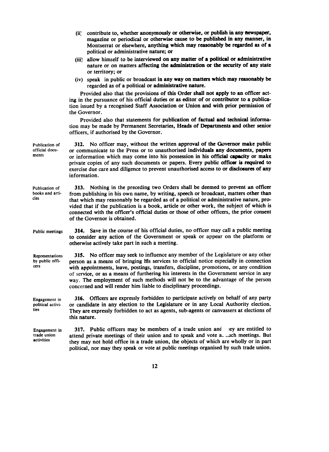|                                                   | contribute to, whether anonymously or otherwise, or publish in any newspaper,<br>(ii)<br>magazine or periodical or otherwise cause to be published in any manner, in<br>Montserrat or elsewhere, anything which may reasonably be regarded as of a<br>political or administrative nature; or                                                                                                                                                                                                                           |
|---------------------------------------------------|------------------------------------------------------------------------------------------------------------------------------------------------------------------------------------------------------------------------------------------------------------------------------------------------------------------------------------------------------------------------------------------------------------------------------------------------------------------------------------------------------------------------|
|                                                   | (iii) allow himself to be interviewed on any matter of a political or administrative<br>nature or on matters affecting the administration or the security of any state<br>or territory; or                                                                                                                                                                                                                                                                                                                             |
|                                                   | (iv) speak in public or broadcast in any way on matters which may reasonably be<br>regarded as of a political or administrative nature.                                                                                                                                                                                                                                                                                                                                                                                |
|                                                   | Provided also that the provisions of this Order shall not apply to an officer act-<br>ing in the pursuance of his official duties or as editor of or contributor to a publica-<br>tion issued by a recognised Staff Association or Union and with prior permission of<br>the Governor.                                                                                                                                                                                                                                 |
|                                                   | Provided also that statements for publication of factual and technical informa-<br>tion may be made by Permanent Secretaries, Heads of Departments and other senior<br>officers, if authorised by the Governor.                                                                                                                                                                                                                                                                                                        |
| Publication of<br>official docu-<br>ments         | 312. No officer may, without the written approval of the Governor make public<br>or communicate to the Press or to unauthorised individuals any documents, papers<br>or information which may come into his possession in his official capacity or make<br>private copies of any such documents or papers. Every public officer is required to<br>exercise due care and diligence to prevent unauthorised access to or disclosures of any<br>information.                                                              |
| Publication of<br>books and arti-<br>cles         | 313. Nothing in the preceding two Orders shall be deemed to prevent an officer<br>from publishing in his own name, by writing, speech or broadcast, matters other than<br>that which may reasonably be regarded as of a political or administrative nature, pro-<br>vided that if the publication is a book, article or other work, the subject of which is<br>connected with the officer's official duties or those of other officers, the prior consent<br>of the Governor is obtained.                              |
| Public meetings                                   | <b>314.</b> Save in the course of his official duties, no officer may call a public meeting<br>to consider any action of the Government or speak or appear on the platform or<br>otherwise actively take part in such a meeting.                                                                                                                                                                                                                                                                                       |
| Representations<br>by public offi-<br>cers        | 315. No officer may seek to influence any member of the Legislature or any other<br>person as a means of bringing his services to official notice especially in connection<br>with appointments, leave, postings, transfers, discipline, promotions, or any condition<br>of service, or as a means of furthering his interests in the Government service in any<br>way. The employment of such methods will not be to the advantage of the person<br>concerned and will render him liable to disciplinary proceedings. |
| <b>Engagement</b> in<br>political activi-<br>ties | 316. Officers are expressly forbidden to participate actively on behalf of any party<br>or candidate in any election to the Legislature or in any Local Authority election.<br>They are expressly forbidden to act as agents, sub-agents or canvassers at elections of<br>this nature.                                                                                                                                                                                                                                 |
| Engagement in<br>trade union<br>activities        | 317. Public officers may be members of a trade union and<br>ley are entitled to<br>attend private meetings of their union and to speak and vote a. . Jch meetings. But<br>they may not hold office in a trade union, the objects of which are wholly or in part<br>political, nor may they speak or vote at public meetings organised by such trade union.                                                                                                                                                             |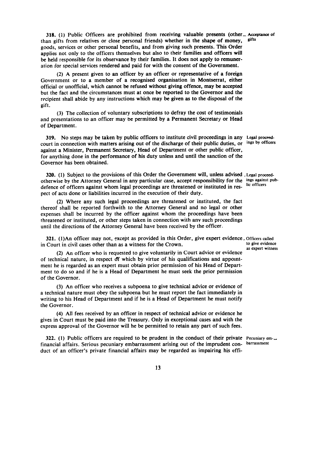318. (1) Public Officers are prohibited from receiving valuable presents (other  $\Delta$  Acceptance of  $\Delta$  an orifs from relatives or close personal friends) whether in the shape of money gifts than gifts from relatives or close personal friends) whether in the shape of money, goods, services or other personal benefits, and from giving such presents. This Order applies not only to the officers themselves but also to their families and officers will be held responsible for its observance by their families. It does not apply to remuneration for special services rendered and paid for with the consent of the Government.

(2) A present given to an officer by an officer or representative of a foreign Government or to a member of a recognised organisation in Montserrat, either official or unofficial, which cannot be refused without giving offence, may be accepted but the fact and the circumstances must at once be reported to the Governor and the recipient shall abide by any instructions which may be given as to the disposal of the gift.

(3) The collection of voluntary subscriptions to defray the cost of testimonials and presentations to an officer may be permitted by a Permanent Secretary or Head of Department.

319. No steps may be taken by public officers to institute civil proceedings in any Legal proceedcourt in connection with matters arising out of the discharge of their public duties, or ings by officers against a Minister, Permanent Secretary, Head of Department or other public officer, for anything done in the performance of his duty unless and until the sanction of the Governor has been obtained.

320. (I) Subject to the provisions of this Order the Government will, unless advised .Legal proceedotherwise by the Attorney General in any particular case, accept responsibility for the ings against pubdefence of officers against whom legal proceedings are threatened or instituted in respect of acts done or liabilities incurred in the execution of their duty.

(2) Where any such legal proceedings are threatened or instituted, the fact thereof shall be reported forthwith to the Attorney General and no legal or other expenses shall be incurred by the officer against whom the proceedings have been threatened or instituted, or other steps taken in connection with any such proceedings until the directions of the Attorney General have been received by the officer .

321. (1)An officer may not, except as provided in this Order, give expert evidence. Officers called in Court in civil cases other than as a witness for the Crown. The state of give evidence

(2) An officer who is requested to give voluntarily in Court advice or evidence of technical nature, in respect <ff which by virtue of his qualifications and appomtment he is regarded as an expert must obtain prior permission of his Head of Department to do so and if he is a Head of Department he must seek the prior permission of the Governor.

(3) An officer who receives a subpoena to give technical advice or evidence of a technical nature must obey the subpoena but he must report the fact immediately in writing to his Head of Department and if he is a Head of Department he must notify the Governor.

(4) All fees received by an officer in respect of technical advice or evidence he gives in Court must be paid into the Treasury. Only in exceptional cases and with the express approval of the Governor will he be permitted to retain any part of such fees.

322. (1) Public officers are required to be prudent in the conduct of their private Pecuniary emfinancial affairs. Serious pecuniary embarrassment arising out of the imprudent con- barrassment duct of an officer's private financial affairs may be regarded as impairing his effi-

as expert witness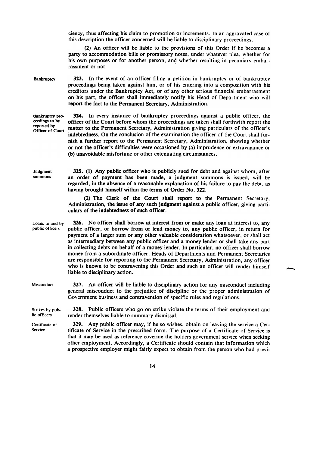ciency, thus affecting his claim to promotion or increments. In an aggravated case of this description the officer concerned will be liable to disciplinary proceedings.

(2) An officer will be liable to the provisions of this Order if he becomes a party to accommodation bills or promissory notes, under whatever plea, whether for his own purposes or for another person, ang whether resulting in pecuniary embarrassment or not.

Bankruptcy 323. In the event of an officer filing a petition in bankruptcy or of bankruptcy proceedings being taken against him, or of his entering into a composition with his creditors under the Bankruptcy Act, or of any other serious financial embarrasment on his part, the officer shall immediately notify his Head of Department who will report the fact to the Permanent Secretary, Administration.

**Bankruptcy pro-** 324. In every instance of bankruptcy proceedings against a public officer, the ceedings to be officer of the Court before whom the proceedings are taken shall forthwith report the officer of the Court before whom the proceedings are taken shall forthwith report the reported by matter to the Permanent Secretary, Administration giving particulars of the officer's Officer of Court indebtedness. On the conclusion of the examination the officer of the Court shall furnish a further report to the Permanent Secretary, Administration, showing whether or not the officer's difficulties were occasioned by (a) imprudence or extravagance or (b) unavoidable misfortune or other extenuating circumstances.

**Judgment** summons 325. (1) Any public officer who is publicly sued for debt and against whom, after an order of payment has been made, a judgment summons is issued, will be regarded, in the absence of a reasonable explanation of his failure to pay the debt, as having brought himself within the terms of Order No.322.

> (2) The Clerk of the Court shall report to the Permanent Secretary, Administration, the issue of any such judgment against a public officer, giving particulars of the indebtedness of such officer .

326. No officer shall borrow at interest from or make any loan at interest to, any public officer, or borrow from or lend money to, any public officer, in return for payment of a larger sum or any other valuable consideration whatsoever, or shall act as intermediary between any public officer and a money lender or shall take any part in collecting debts on behalf of a money lender. In particular, no officer shall borrow money from a subordinate officer. Heads of Departments and Permanent Secretaries are responsible for reporting to the Permanent Secretary, Administration, any officer who is known to be contravening this Order and such an officer will render himself liable to disciplinary action. Loans to and by public officers

327. An officer will be liable to disciplinary action for any misconduct including general misconduct to the prejudice of discipline or the proper administration of Government business and contravention of specific rules and regulations. **Misconduct** 

Strikes by public officers 328. Public officers who go on strike violate the terms of their employment and render themselves liable to summary dismissal.

329. Any public officer may, if he so wishes, obtain on leaving the service a certificate of Service in the prescribed form. The purpose of a Certificate of Service is that it may be used as reference covering the holders government service when seeking other employment. Accordingly, a Certificate should contain that information which a prospective employer might fairly expect to obtain from the person who had previ-Certificate of Service